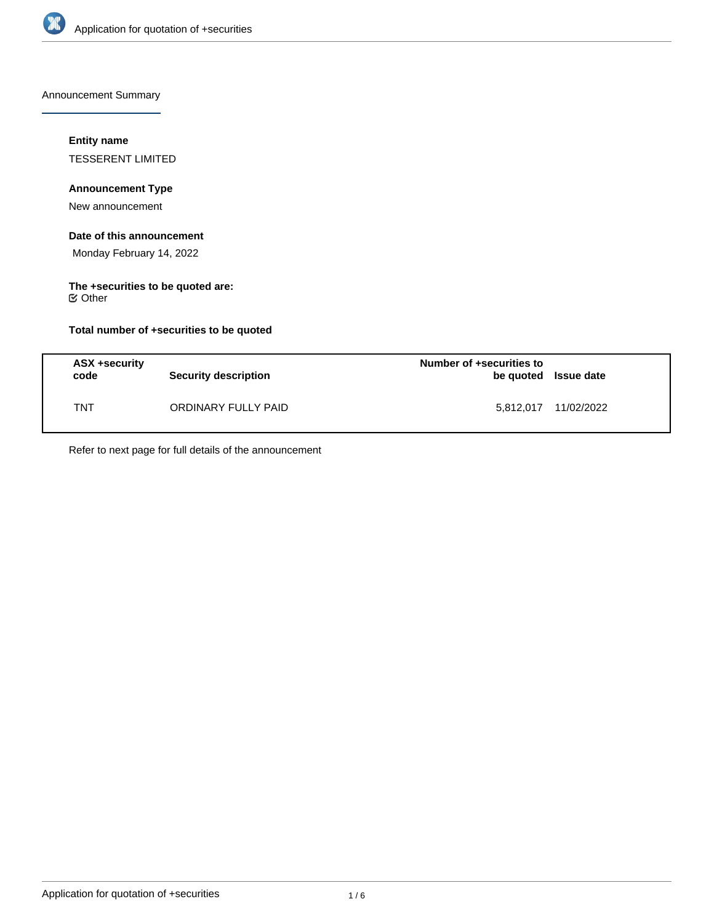

Announcement Summary

### **Entity name**

TESSERENT LIMITED

# **Announcement Type**

New announcement

# **Date of this announcement**

Monday February 14, 2022

### **The +securities to be quoted are:** Other

# **Total number of +securities to be quoted**

| ASX +security<br>code | <b>Security description</b> | Number of +securities to<br>be quoted Issue date |            |
|-----------------------|-----------------------------|--------------------------------------------------|------------|
| TNT                   | ORDINARY FULLY PAID         | 5,812,017                                        | 11/02/2022 |

Refer to next page for full details of the announcement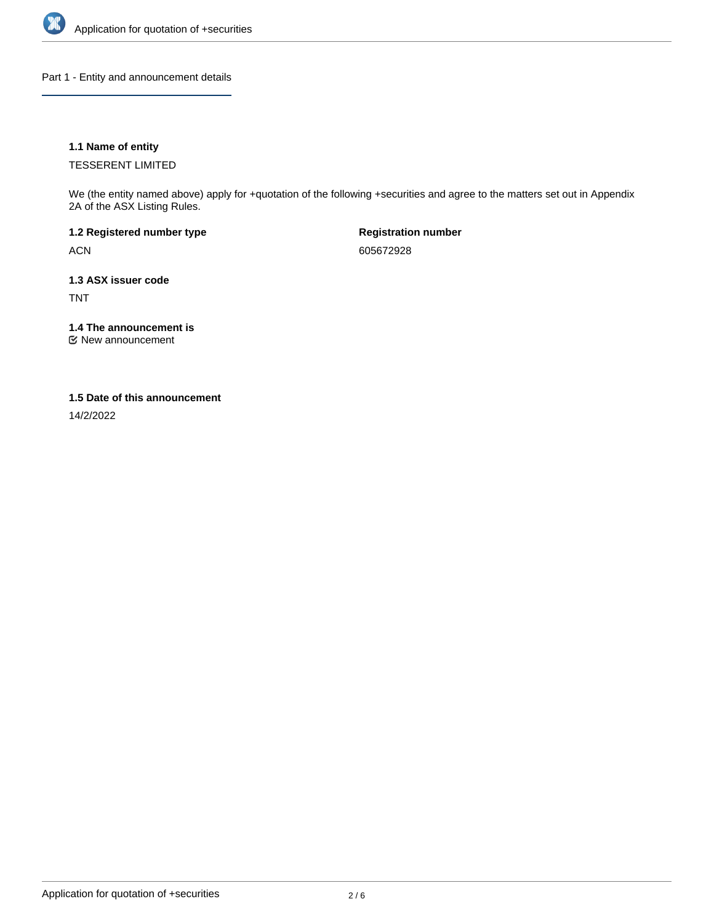

Part 1 - Entity and announcement details

### **1.1 Name of entity**

TESSERENT LIMITED

We (the entity named above) apply for +quotation of the following +securities and agree to the matters set out in Appendix 2A of the ASX Listing Rules.

**1.2 Registered number type** ACN

**Registration number** 605672928

**1.3 ASX issuer code** TNT

**1.4 The announcement is**

New announcement

### **1.5 Date of this announcement**

14/2/2022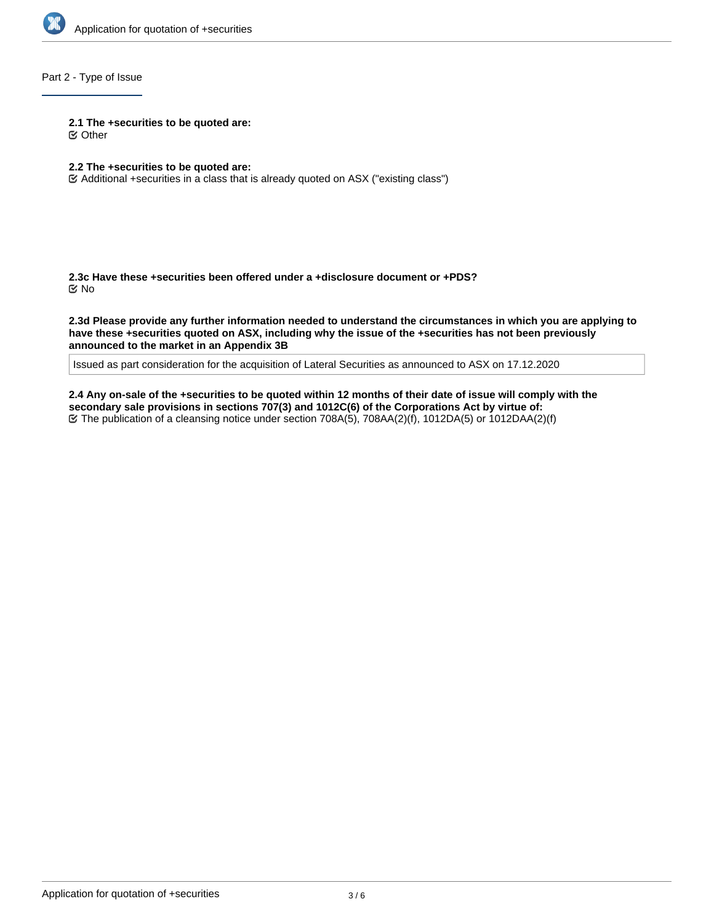

# Part 2 - Type of Issue

**2.1 The +securities to be quoted are:**

Other

- **2.2 The +securities to be quoted are:**
- Additional +securities in a class that is already quoted on ASX ("existing class")

**2.3c Have these +securities been offered under a +disclosure document or +PDS?** No

**2.3d Please provide any further information needed to understand the circumstances in which you are applying to have these +securities quoted on ASX, including why the issue of the +securities has not been previously announced to the market in an Appendix 3B**

Issued as part consideration for the acquisition of Lateral Securities as announced to ASX on 17.12.2020

**2.4 Any on-sale of the +securities to be quoted within 12 months of their date of issue will comply with the secondary sale provisions in sections 707(3) and 1012C(6) of the Corporations Act by virtue of:** The publication of a cleansing notice under section 708A(5), 708AA(2)(f), 1012DA(5) or 1012DAA(2)(f)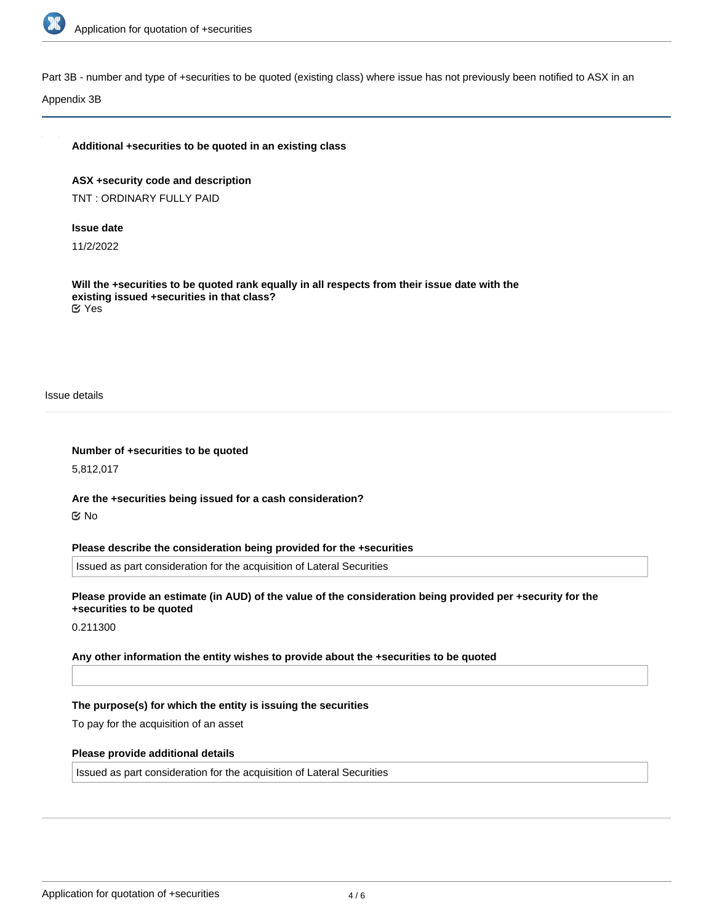

Part 3B - number and type of +securities to be quoted (existing class) where issue has not previously been notified to ASX in an

Appendix 3B

### **Additional +securities to be quoted in an existing class**

**ASX +security code and description** TNT : ORDINARY FULLY PAID

### **Issue date**

11/2/2022

**Will the +securities to be quoted rank equally in all respects from their issue date with the existing issued +securities in that class?** Yes

Issue details

**Number of +securities to be quoted**

5,812,017

**Are the +securities being issued for a cash consideration?** No

**Please describe the consideration being provided for the +securities**

Issued as part consideration for the acquisition of Lateral Securities

**Please provide an estimate (in AUD) of the value of the consideration being provided per +security for the +securities to be quoted**

0.211300

**Any other information the entity wishes to provide about the +securities to be quoted**

#### **The purpose(s) for which the entity is issuing the securities**

To pay for the acquisition of an asset

#### **Please provide additional details**

Issued as part consideration for the acquisition of Lateral Securities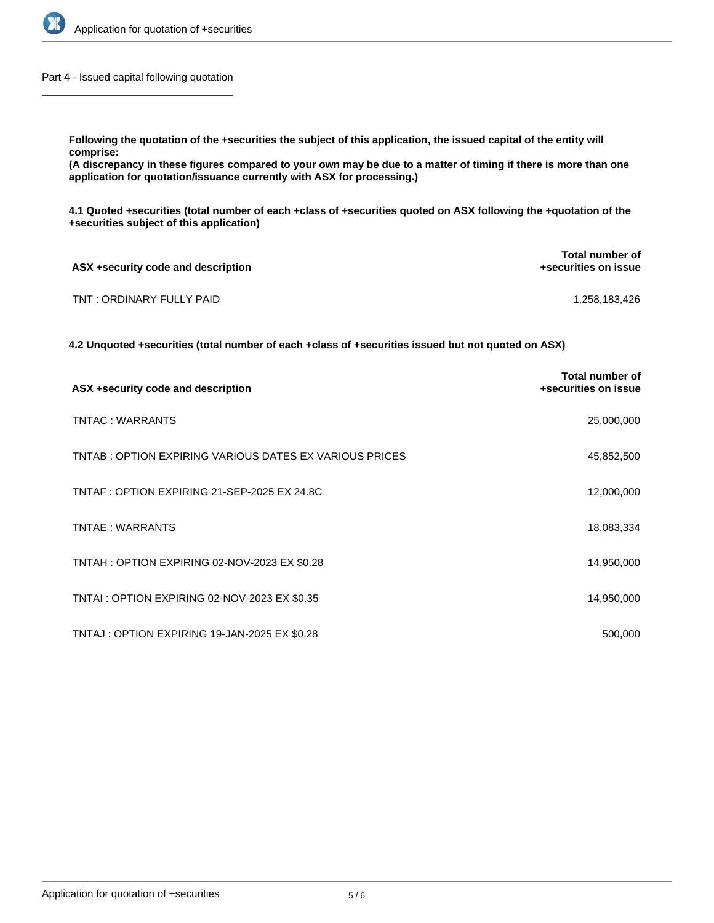

Part 4 - Issued capital following quotation

**Following the quotation of the +securities the subject of this application, the issued capital of the entity will comprise:**

**(A discrepancy in these figures compared to your own may be due to a matter of timing if there is more than one application for quotation/issuance currently with ASX for processing.)**

**4.1 Quoted +securities (total number of each +class of +securities quoted on ASX following the +quotation of the +securities subject of this application)**

| ASX +security code and description | <b>Total number of</b><br>+securities on issue |
|------------------------------------|------------------------------------------------|
| TNT: ORDINARY FULLY PAID           | 1.258.183.426                                  |

**4.2 Unquoted +securities (total number of each +class of +securities issued but not quoted on ASX)**

| ASX +security code and description                     | Total number of<br>+securities on issue |
|--------------------------------------------------------|-----------------------------------------|
| TNTAC: WARRANTS                                        | 25,000,000                              |
| TNTAB: OPTION EXPIRING VARIOUS DATES EX VARIOUS PRICES | 45,852,500                              |
| TNTAF : OPTION EXPIRING 21-SEP-2025 EX 24.8C           | 12,000,000                              |
| TNTAE: WARRANTS                                        | 18,083,334                              |
| TNTAH: OPTION EXPIRING 02-NOV-2023 EX \$0.28           | 14,950,000                              |
| TNTAI : OPTION EXPIRING 02-NOV-2023 EX \$0.35          | 14,950,000                              |
| TNTAJ: OPTION EXPIRING 19-JAN-2025 EX \$0.28           | 500,000                                 |